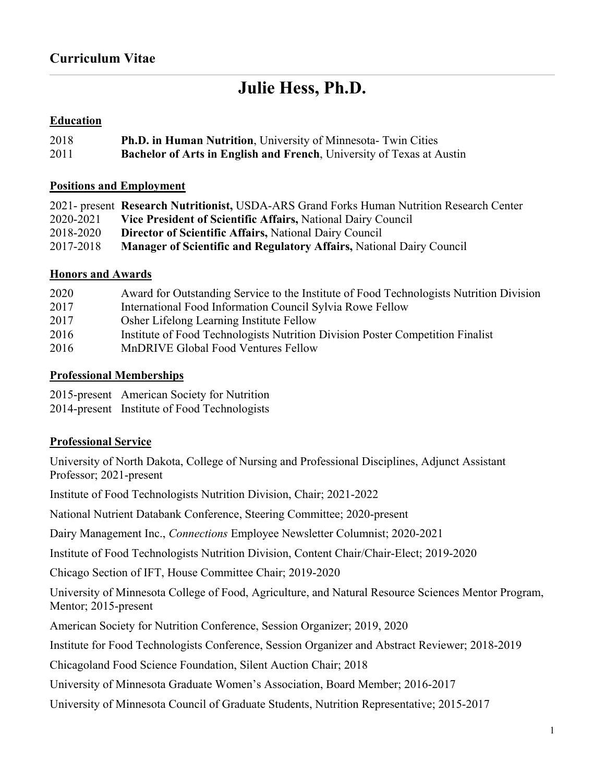# **Julie Hess, Ph.D.**

## **Education**

| 2018 | <b>Ph.D. in Human Nutrition, University of Minnesota-Twin Cities</b>         |
|------|------------------------------------------------------------------------------|
| 2011 | <b>Bachelor of Arts in English and French, University of Texas at Austin</b> |

#### **Positions and Employment**

|           | 2021- present Research Nutritionist, USDA-ARS Grand Forks Human Nutrition Research Center |
|-----------|-------------------------------------------------------------------------------------------|
| 2020-2021 | Vice President of Scientific Affairs, National Dairy Council                              |
| 2018-2020 | <b>Director of Scientific Affairs, National Dairy Council</b>                             |
| 2017-2018 | Manager of Scientific and Regulatory Affairs, National Dairy Council                      |

#### **Honors and Awards**

| 2020 | Award for Outstanding Service to the Institute of Food Technologists Nutrition Division |
|------|-----------------------------------------------------------------------------------------|
| 2017 | International Food Information Council Sylvia Rowe Fellow                               |
| 2017 | Osher Lifelong Learning Institute Fellow                                                |
| 2016 | Institute of Food Technologists Nutrition Division Poster Competition Finalist          |
| 2016 | MnDRIVE Global Food Ventures Fellow                                                     |

#### **Professional Memberships**

2015-present American Society for Nutrition

2014-present Institute of Food Technologists

## **Professional Service**

University of North Dakota, College of Nursing and Professional Disciplines, Adjunct Assistant Professor; 2021-present

Institute of Food Technologists Nutrition Division, Chair; 2021-2022

National Nutrient Databank Conference, Steering Committee; 2020-present

Dairy Management Inc., *Connections* Employee Newsletter Columnist; 2020-2021

Institute of Food Technologists Nutrition Division, Content Chair/Chair-Elect; 2019-2020

Chicago Section of IFT, House Committee Chair; 2019-2020

University of Minnesota College of Food, Agriculture, and Natural Resource Sciences Mentor Program, Mentor; 2015-present

American Society for Nutrition Conference, Session Organizer; 2019, 2020

Institute for Food Technologists Conference, Session Organizer and Abstract Reviewer; 2018-2019

Chicagoland Food Science Foundation, Silent Auction Chair; 2018

University of Minnesota Graduate Women's Association, Board Member; 2016-2017

University of Minnesota Council of Graduate Students, Nutrition Representative; 2015-2017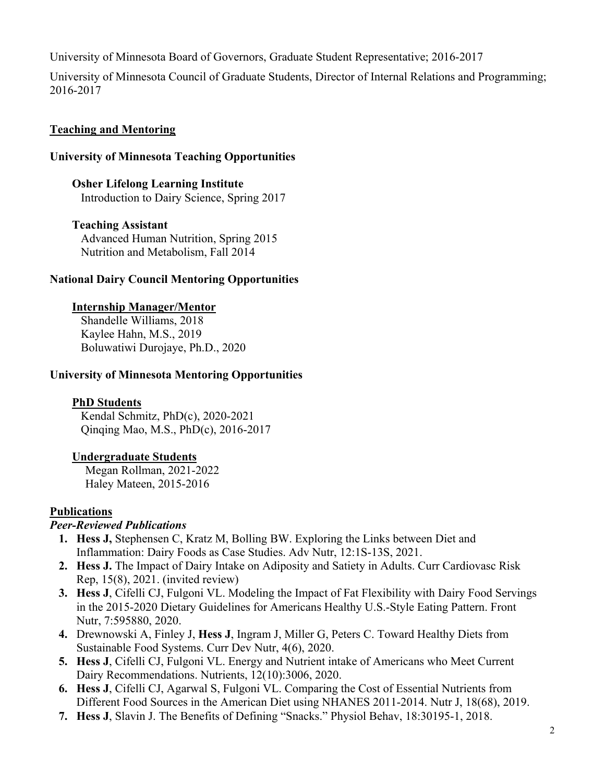University of Minnesota Board of Governors, Graduate Student Representative; 2016-2017

University of Minnesota Council of Graduate Students, Director of Internal Relations and Programming; 2016-2017

# **Teaching and Mentoring**

## **University of Minnesota Teaching Opportunities**

**Osher Lifelong Learning Institute**  Introduction to Dairy Science, Spring 2017

## **Teaching Assistant**

Advanced Human Nutrition, Spring 2015 Nutrition and Metabolism, Fall 2014

## **National Dairy Council Mentoring Opportunities**

## **Internship Manager/Mentor**

Shandelle Williams, 2018 Kaylee Hahn, M.S., 2019 Boluwatiwi Durojaye, Ph.D., 2020

## **University of Minnesota Mentoring Opportunities**

## **PhD Students**

Kendal Schmitz, PhD(c), 2020-2021 Qinqing Mao, M.S., PhD(c), 2016-2017

# **Undergraduate Students**

Megan Rollman, 2021-2022 Haley Mateen, 2015-2016

## **Publications**

## *Peer-Reviewed Publications*

- **1. Hess J,** Stephensen C, Kratz M, Bolling BW. Exploring the Links between Diet and Inflammation: Dairy Foods as Case Studies. Adv Nutr, 12:1S-13S, 2021.
- **2. Hess J.** The Impact of Dairy Intake on Adiposity and Satiety in Adults. Curr Cardiovasc Risk Rep, 15(8), 2021. (invited review)
- **3. Hess J**, Cifelli CJ, Fulgoni VL. Modeling the Impact of Fat Flexibility with Dairy Food Servings in the 2015-2020 Dietary Guidelines for Americans Healthy U.S.-Style Eating Pattern. Front Nutr, 7:595880, 2020.
- **4.** Drewnowski A, Finley J, **Hess J**, Ingram J, Miller G, Peters C. Toward Healthy Diets from Sustainable Food Systems. Curr Dev Nutr, 4(6), 2020.
- **5. Hess J**, Cifelli CJ, Fulgoni VL. Energy and Nutrient intake of Americans who Meet Current Dairy Recommendations. Nutrients, 12(10):3006, 2020.
- **6. Hess J**, Cifelli CJ, Agarwal S, Fulgoni VL. Comparing the Cost of Essential Nutrients from Different Food Sources in the American Diet using NHANES 2011-2014. Nutr J, 18(68), 2019.
- **7. Hess J**, Slavin J. The Benefits of Defining "Snacks." Physiol Behav, 18:30195-1, 2018.